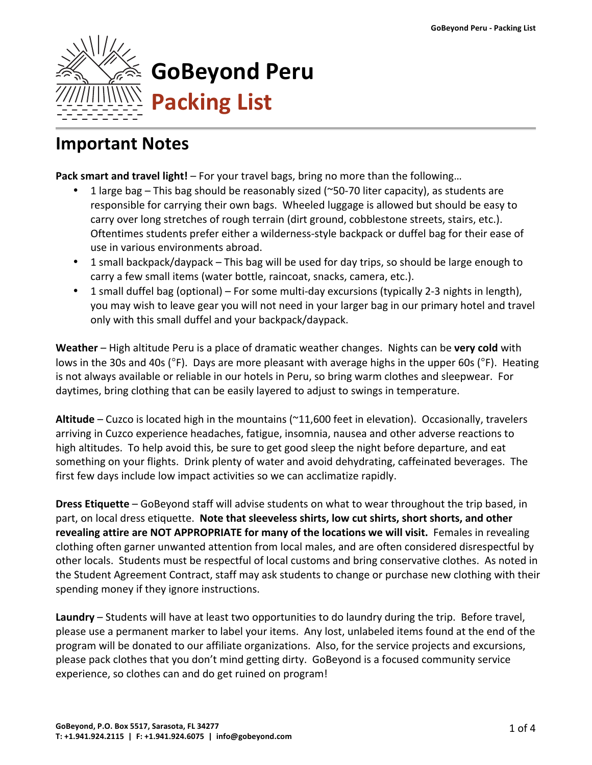

## **Important Notes**

**Pack smart and travel light!** – For your travel bags, bring no more than the following...

- 1 large bag This bag should be reasonably sized ( $\degree$ 50-70 liter capacity), as students are responsible for carrying their own bags. Wheeled luggage is allowed but should be easy to carry over long stretches of rough terrain (dirt ground, cobblestone streets, stairs, etc.). Oftentimes students prefer either a wilderness-style backpack or duffel bag for their ease of use in various environments abroad.
- 1 small backpack/daypack This bag will be used for day trips, so should be large enough to carry a few small items (water bottle, raincoat, snacks, camera, etc.).
- 1 small duffel bag (optional) For some multi-day excursions (typically 2-3 nights in length), you may wish to leave gear you will not need in your larger bag in our primary hotel and travel only with this small duffel and your backpack/daypack.

**Weather** – High altitude Peru is a place of dramatic weather changes. Nights can be very cold with lows in the 30s and 40s ( $\degree$ F). Days are more pleasant with average highs in the upper 60s ( $\degree$ F). Heating is not always available or reliable in our hotels in Peru, so bring warm clothes and sleepwear. For daytimes, bring clothing that can be easily layered to adjust to swings in temperature.

Altitude – Cuzco is located high in the mountains (~11,600 feet in elevation). Occasionally, travelers arriving in Cuzco experience headaches, fatigue, insomnia, nausea and other adverse reactions to high altitudes. To help avoid this, be sure to get good sleep the night before departure, and eat something on your flights. Drink plenty of water and avoid dehydrating, caffeinated beverages. The first few days include low impact activities so we can acclimatize rapidly.

**Dress Etiquette** – GoBeyond staff will advise students on what to wear throughout the trip based, in part, on local dress etiquette. **Note that sleeveless shirts, low cut shirts, short shorts, and other revealing attire are NOT APPROPRIATE for many of the locations we will visit.** Females in revealing clothing often garner unwanted attention from local males, and are often considered disrespectful by other locals. Students must be respectful of local customs and bring conservative clothes. As noted in the Student Agreement Contract, staff may ask students to change or purchase new clothing with their spending money if they ignore instructions.

**Laundry** – Students will have at least two opportunities to do laundry during the trip. Before travel, please use a permanent marker to label your items. Any lost, unlabeled items found at the end of the program will be donated to our affiliate organizations. Also, for the service projects and excursions, please pack clothes that you don't mind getting dirty. GoBeyond is a focused community service experience, so clothes can and do get ruined on program!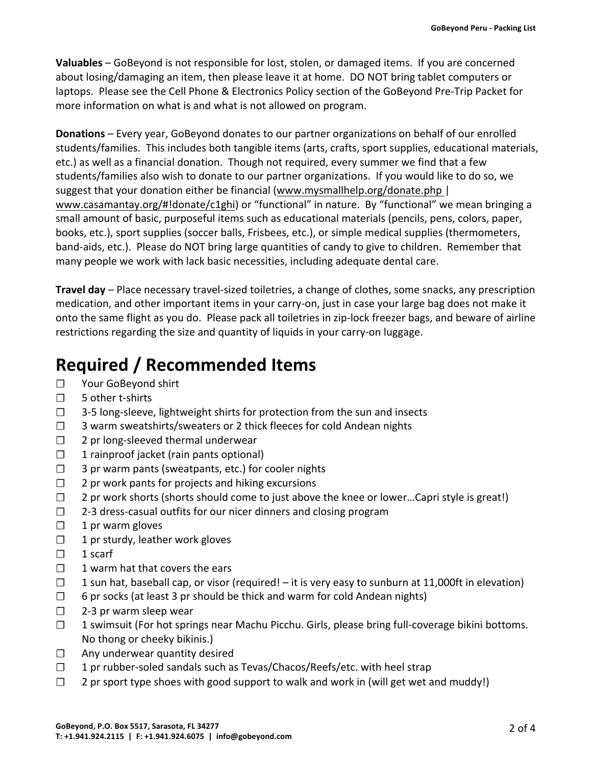**Valuables** – GoBeyond is not responsible for lost, stolen, or damaged items. If you are concerned about losing/damaging an item, then please leave it at home. DO NOT bring tablet computers or laptops. Please see the Cell Phone & Electronics Policy section of the GoBeyond Pre-Trip Packet for more information on what is and what is not allowed on program.

**Donations** – Every year, GoBeyond donates to our partner organizations on behalf of our enrolled students/families. This includes both tangible items (arts, crafts, sport supplies, educational materials, etc.) as well as a financial donation. Though not required, every summer we find that a few students/families also wish to donate to our partner organizations. If you would like to do so, we suggest that your donation either be financial (www.mysmallhelp.org/donate.php  $|$ www.casamantay.org/#!donate/c1ghi) or "functional" in nature. By "functional" we mean bringing a small amount of basic, purposeful items such as educational materials (pencils, pens, colors, paper, books, etc.), sport supplies (soccer balls, Frisbees, etc.), or simple medical supplies (thermometers, band-aids, etc.). Please do NOT bring large quantities of candy to give to children. Remember that many people we work with lack basic necessities, including adequate dental care.

**Travel day** – Place necessary travel-sized toiletries, a change of clothes, some snacks, any prescription medication, and other important items in your carry-on, just in case your large bag does not make it onto the same flight as you do. Please pack all toiletries in zip-lock freezer bags, and beware of airline restrictions regarding the size and quantity of liquids in your carry-on luggage.

## **Required / Recommended Items**

- □ Your GoBeyond shirt
- □ 5 other t-shirts
- $\Box$  3-5 long-sleeve, lightweight shirts for protection from the sun and insects
- □ 3 warm sweatshirts/sweaters or 2 thick fleeces for cold Andean nights
- $\Box$  2 pr long-sleeved thermal underwear
- $\Box$  1 rainproof jacket (rain pants optional)
- $\Box$  3 pr warm pants (sweatpants, etc.) for cooler nights
- $\Box$  2 pr work pants for projects and hiking excursions
- $\Box$  2 pr work shorts (shorts should come to just above the knee or lower...Capri style is great!)
- $\Box$  2-3 dress-casual outfits for our nicer dinners and closing program
- $\Box$  1 pr warm gloves
- $\Box$  1 pr sturdy, leather work gloves
- $\Box$  1 scarf
- $\Box$  1 warm hat that covers the ears
- $\Box$  1 sun hat, baseball cap, or visor (required! it is very easy to sunburn at 11,000ft in elevation)
- $\Box$  6 pr socks (at least 3 pr should be thick and warm for cold Andean nights)
- $\Box$  2-3 pr warm sleep wear
- $\Box$  1 swimsuit (For hot springs near Machu Picchu. Girls, please bring full-coverage bikini bottoms. No thong or cheeky bikinis.)
- $\Box$  Any underwear quantity desired
- □ 1 pr rubber-soled sandals such as Tevas/Chacos/Reefs/etc. with heel strap
- $\Box$  2 pr sport type shoes with good support to walk and work in (will get wet and muddy!)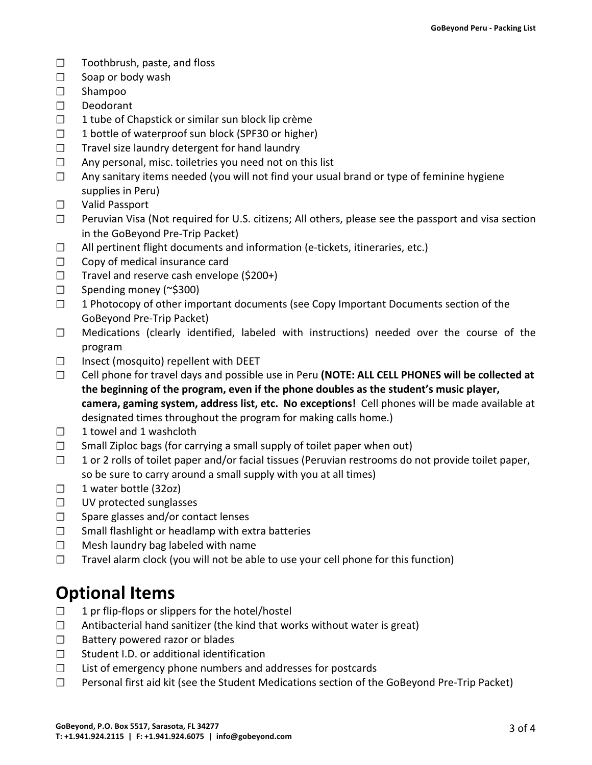- $\Box$  Toothbrush, paste, and floss
- $\Box$  Soap or body wash
- ☐ Shampoo
- ☐ Deodorant
- $\Box$  1 tube of Chapstick or similar sun block lip crème
- $\Box$  1 bottle of waterproof sun block (SPF30 or higher)
- $\Box$  Travel size laundry detergent for hand laundry
- $\Box$  Any personal, misc. toiletries you need not on this list
- $\Box$  Any sanitary items needed (you will not find your usual brand or type of feminine hygiene supplies in Peru)
- ☐ Valid Passport
- $\Box$  Peruvian Visa (Not required for U.S. citizens; All others, please see the passport and visa section in the GoBeyond Pre-Trip Packet)
- $\Box$  All pertinent flight documents and information (e-tickets, itineraries, etc.)
- $\Box$  Copy of medical insurance card
- $\Box$  Travel and reserve cash envelope (\$200+)
- $\Box$  Spending money (~\$300)
- $\Box$  1 Photocopy of other important documents (see Copy Important Documents section of the GoBeyond Pre-Trip Packet)
- $\Box$  Medications (clearly identified, labeled with instructions) needed over the course of the program
- □ Insect (mosquito) repellent with DEET
- □ Cell phone for travel days and possible use in Peru (NOTE: ALL CELL PHONES will be collected at the beginning of the program, even if the phone doubles as the student's music player, camera, gaming system, address list, etc. No exceptions! Cell phones will be made available at designated times throughout the program for making calls home.)
- $\Box$  1 towel and 1 washcloth
- $\Box$  Small Ziploc bags (for carrying a small supply of toilet paper when out)
- $\Box$  1 or 2 rolls of toilet paper and/or facial tissues (Peruvian restrooms do not provide toilet paper, so be sure to carry around a small supply with you at all times)
- $\Box$  1 water bottle (32oz)
- $\Box$  UV protected sunglasses
- $\Box$  Spare glasses and/or contact lenses
- $\Box$  Small flashlight or headlamp with extra batteries
- $\Box$  Mesh laundry bag labeled with name
- $\Box$  Travel alarm clock (you will not be able to use your cell phone for this function)

## **Optional Items**

- $\Box$  1 pr flip-flops or slippers for the hotel/hostel
- $\Box$  Antibacterial hand sanitizer (the kind that works without water is great)
- □ Battery powered razor or blades
- □ Student I.D. or additional identification
- □ List of emergency phone numbers and addresses for postcards
- $\square$  Personal first aid kit (see the Student Medications section of the GoBeyond Pre-Trip Packet)